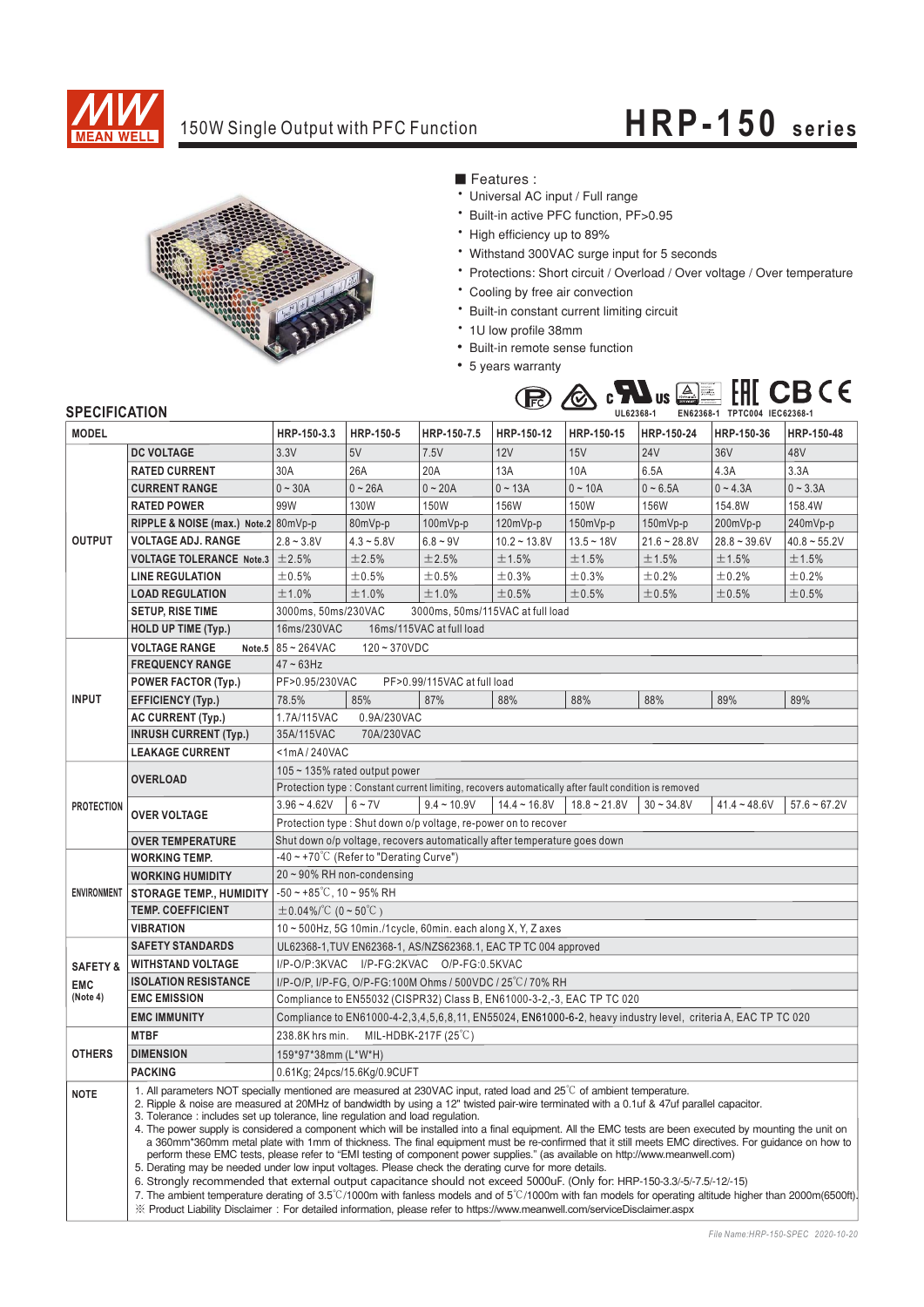

## 150W Single Output with PFC Function **HRP-150** series



### ■ Features :

- Universal AC input / Full range
- \* Built-in active PFC function, PF>0.95
- High efficiency up to 89%
- Withstand 300VAC surge input for 5 seconds
- \* Protections: Short circuit / Overload / Over voltage / Over temperature
- \* Cooling by free air convection
- \* Built-in constant current limiting circuit
- 1U low profile 38mm
- Built-in remote sense function
- 5 years warranty



### **SPECIFICATION**

|                     | <b>JELUIFIUAI IUN</b>                                                                                                                | UL62368-1<br>EN0Z308-1 IPICUU4 IEC0Z308-1                                                                                                                                                                                                                                                                                                                                                                                                                                                                                                                                                                                                                                                                                                                                                                                                                                                                                                                                                                                                                                                                                                                                                                                                                                                                                                         |                              |                                                                |                |                |                |                |                   |
|---------------------|--------------------------------------------------------------------------------------------------------------------------------------|---------------------------------------------------------------------------------------------------------------------------------------------------------------------------------------------------------------------------------------------------------------------------------------------------------------------------------------------------------------------------------------------------------------------------------------------------------------------------------------------------------------------------------------------------------------------------------------------------------------------------------------------------------------------------------------------------------------------------------------------------------------------------------------------------------------------------------------------------------------------------------------------------------------------------------------------------------------------------------------------------------------------------------------------------------------------------------------------------------------------------------------------------------------------------------------------------------------------------------------------------------------------------------------------------------------------------------------------------|------------------------------|----------------------------------------------------------------|----------------|----------------|----------------|----------------|-------------------|
| <b>MODEL</b>        |                                                                                                                                      | HRP-150-3.3                                                                                                                                                                                                                                                                                                                                                                                                                                                                                                                                                                                                                                                                                                                                                                                                                                                                                                                                                                                                                                                                                                                                                                                                                                                                                                                                       | HRP-150-5                    | HRP-150-7.5                                                    | HRP-150-12     | HRP-150-15     | HRP-150-24     | HRP-150-36     | HRP-150-48        |
| <b>OUTPUT</b>       | <b>DC VOLTAGE</b>                                                                                                                    | 3.3V                                                                                                                                                                                                                                                                                                                                                                                                                                                                                                                                                                                                                                                                                                                                                                                                                                                                                                                                                                                                                                                                                                                                                                                                                                                                                                                                              | 5V                           | 7.5V                                                           | 12V            | 15V            | <b>24V</b>     | 36V            | 48V               |
|                     | <b>RATED CURRENT</b>                                                                                                                 | 30A                                                                                                                                                                                                                                                                                                                                                                                                                                                                                                                                                                                                                                                                                                                                                                                                                                                                                                                                                                                                                                                                                                                                                                                                                                                                                                                                               | 26A                          | 20A                                                            | 13A            | 10A            | 6.5A           | 4.3A           | 3.3A              |
|                     | <b>CURRENT RANGE</b>                                                                                                                 | $0 - 30A$                                                                                                                                                                                                                                                                                                                                                                                                                                                                                                                                                                                                                                                                                                                                                                                                                                                                                                                                                                                                                                                                                                                                                                                                                                                                                                                                         | $0 - 26A$                    | $0 - 20A$                                                      | $0 - 13A$      | $0 - 10A$      | $0 - 6.5A$     | $0 - 4.3A$     | $0 - 3.3A$        |
|                     | <b>RATED POWER</b>                                                                                                                   | 99W                                                                                                                                                                                                                                                                                                                                                                                                                                                                                                                                                                                                                                                                                                                                                                                                                                                                                                                                                                                                                                                                                                                                                                                                                                                                                                                                               | 130W                         | 150W                                                           | 156W           | 150W           | 156W           | 154.8W         | 158.4W            |
|                     | RIPPLE & NOISE (max.) Note.2 80mVp-p                                                                                                 |                                                                                                                                                                                                                                                                                                                                                                                                                                                                                                                                                                                                                                                                                                                                                                                                                                                                                                                                                                                                                                                                                                                                                                                                                                                                                                                                                   | 80mVp-p                      | $100mVp-p$                                                     | $120mVp-p$     | 150mVp-p       | 150mVp-p       | 200mVp-p       | 240mVp-p          |
|                     | <b>VOLTAGE ADJ. RANGE</b>                                                                                                            | $2.8 - 3.8V$                                                                                                                                                                                                                                                                                                                                                                                                                                                                                                                                                                                                                                                                                                                                                                                                                                                                                                                                                                                                                                                                                                                                                                                                                                                                                                                                      | $4.3 - 5.8V$                 | $6.8 - 9V$                                                     | $10.2 - 13.8V$ | $13.5 - 18V$   | $21.6 - 28.8V$ | $28.8 - 39.6V$ | $40.8 \sim 55.2V$ |
|                     | <b>VOLTAGE TOLERANCE Note.3</b>                                                                                                      | ±2.5%                                                                                                                                                                                                                                                                                                                                                                                                                                                                                                                                                                                                                                                                                                                                                                                                                                                                                                                                                                                                                                                                                                                                                                                                                                                                                                                                             | ±2.5%                        | ±2.5%                                                          | ±1.5%          | $\pm$ 1.5%     | $\pm$ 1.5%     | ±1.5%          | ±1.5%             |
|                     | <b>LINE REGULATION</b>                                                                                                               | ±0.5%                                                                                                                                                                                                                                                                                                                                                                                                                                                                                                                                                                                                                                                                                                                                                                                                                                                                                                                                                                                                                                                                                                                                                                                                                                                                                                                                             | ±0.5%                        | ±0.5%                                                          | ±0.3%          | ±0.3%          | ±0.2%          | ±0.2%          | ±0.2%             |
|                     | <b>LOAD REGULATION</b>                                                                                                               | ±1.0%                                                                                                                                                                                                                                                                                                                                                                                                                                                                                                                                                                                                                                                                                                                                                                                                                                                                                                                                                                                                                                                                                                                                                                                                                                                                                                                                             | ±1.0%                        | ±1.0%                                                          | ±0.5%          | ±0.5%          | ±0.5%          | ±0.5%          | ±0.5%             |
|                     | <b>SETUP, RISE TIME</b>                                                                                                              | 3000ms, 50ms/230VAC<br>3000ms, 50ms/115VAC at full load                                                                                                                                                                                                                                                                                                                                                                                                                                                                                                                                                                                                                                                                                                                                                                                                                                                                                                                                                                                                                                                                                                                                                                                                                                                                                           |                              |                                                                |                |                |                |                |                   |
|                     | <b>HOLD UP TIME (Typ.)</b>                                                                                                           | 16ms/230VAC<br>16ms/115VAC at full load                                                                                                                                                                                                                                                                                                                                                                                                                                                                                                                                                                                                                                                                                                                                                                                                                                                                                                                                                                                                                                                                                                                                                                                                                                                                                                           |                              |                                                                |                |                |                |                |                   |
|                     | <b>VOLTAGE RANGE</b><br>Note.5                                                                                                       | 85~264VAC<br>$120 - 370VDC$                                                                                                                                                                                                                                                                                                                                                                                                                                                                                                                                                                                                                                                                                                                                                                                                                                                                                                                                                                                                                                                                                                                                                                                                                                                                                                                       |                              |                                                                |                |                |                |                |                   |
| <b>INPUT</b>        | <b>FREQUENCY RANGE</b>                                                                                                               | $47 - 63$ Hz                                                                                                                                                                                                                                                                                                                                                                                                                                                                                                                                                                                                                                                                                                                                                                                                                                                                                                                                                                                                                                                                                                                                                                                                                                                                                                                                      |                              |                                                                |                |                |                |                |                   |
|                     | <b>POWER FACTOR (Typ.)</b>                                                                                                           | PF>0.95/230VAC<br>PF>0.99/115VAC at full load                                                                                                                                                                                                                                                                                                                                                                                                                                                                                                                                                                                                                                                                                                                                                                                                                                                                                                                                                                                                                                                                                                                                                                                                                                                                                                     |                              |                                                                |                |                |                |                |                   |
|                     | <b>EFFICIENCY (Typ.)</b>                                                                                                             | 78.5%                                                                                                                                                                                                                                                                                                                                                                                                                                                                                                                                                                                                                                                                                                                                                                                                                                                                                                                                                                                                                                                                                                                                                                                                                                                                                                                                             | 85%                          | 87%                                                            | 88%            | 88%            | 88%            | 89%            | 89%               |
|                     | <b>AC CURRENT (Typ.)</b>                                                                                                             | 1.7A/115VAC                                                                                                                                                                                                                                                                                                                                                                                                                                                                                                                                                                                                                                                                                                                                                                                                                                                                                                                                                                                                                                                                                                                                                                                                                                                                                                                                       | 0.9A/230VAC                  |                                                                |                |                |                |                |                   |
|                     | <b>INRUSH CURRENT (Typ.)</b>                                                                                                         | 35A/115VAC<br>70A/230VAC                                                                                                                                                                                                                                                                                                                                                                                                                                                                                                                                                                                                                                                                                                                                                                                                                                                                                                                                                                                                                                                                                                                                                                                                                                                                                                                          |                              |                                                                |                |                |                |                |                   |
|                     | <b>LEAKAGE CURRENT</b>                                                                                                               | <1mA/240VAC                                                                                                                                                                                                                                                                                                                                                                                                                                                                                                                                                                                                                                                                                                                                                                                                                                                                                                                                                                                                                                                                                                                                                                                                                                                                                                                                       |                              |                                                                |                |                |                |                |                   |
| <b>PROTECTION</b>   |                                                                                                                                      | $105 \sim 135\%$ rated output power                                                                                                                                                                                                                                                                                                                                                                                                                                                                                                                                                                                                                                                                                                                                                                                                                                                                                                                                                                                                                                                                                                                                                                                                                                                                                                               |                              |                                                                |                |                |                |                |                   |
|                     | <b>OVERLOAD</b>                                                                                                                      | Protection type : Constant current limiting, recovers automatically after fault condition is removed                                                                                                                                                                                                                                                                                                                                                                                                                                                                                                                                                                                                                                                                                                                                                                                                                                                                                                                                                                                                                                                                                                                                                                                                                                              |                              |                                                                |                |                |                |                |                   |
|                     |                                                                                                                                      | $3.96 - 4.62V$                                                                                                                                                                                                                                                                                                                                                                                                                                                                                                                                                                                                                                                                                                                                                                                                                                                                                                                                                                                                                                                                                                                                                                                                                                                                                                                                    | $6 - 7V$                     | $9.4 - 10.9V$                                                  | $14.4 - 16.8V$ | $18.8 - 21.8V$ | $30 - 34.8V$   | $41.4 - 48.6V$ | $57.6 - 67.2V$    |
|                     | <b>OVER VOLTAGE</b>                                                                                                                  |                                                                                                                                                                                                                                                                                                                                                                                                                                                                                                                                                                                                                                                                                                                                                                                                                                                                                                                                                                                                                                                                                                                                                                                                                                                                                                                                                   |                              | Protection type: Shut down o/p voltage, re-power on to recover |                |                |                |                |                   |
|                     | <b>OVER TEMPERATURE</b>                                                                                                              | Shut down o/p voltage, recovers automatically after temperature goes down                                                                                                                                                                                                                                                                                                                                                                                                                                                                                                                                                                                                                                                                                                                                                                                                                                                                                                                                                                                                                                                                                                                                                                                                                                                                         |                              |                                                                |                |                |                |                |                   |
| <b>ENVIRONMENT</b>  | <b>WORKING TEMP.</b>                                                                                                                 | $-40 \sim +70^{\circ}$ (Refer to "Derating Curve")                                                                                                                                                                                                                                                                                                                                                                                                                                                                                                                                                                                                                                                                                                                                                                                                                                                                                                                                                                                                                                                                                                                                                                                                                                                                                                |                              |                                                                |                |                |                |                |                   |
|                     | <b>WORKING HUMIDITY</b>                                                                                                              | 20~90% RH non-condensing                                                                                                                                                                                                                                                                                                                                                                                                                                                                                                                                                                                                                                                                                                                                                                                                                                                                                                                                                                                                                                                                                                                                                                                                                                                                                                                          |                              |                                                                |                |                |                |                |                   |
|                     | <b>STORAGE TEMP., HUMIDITY</b>                                                                                                       | $-50 \sim +85^{\circ}$ C, 10 ~ 95% RH                                                                                                                                                                                                                                                                                                                                                                                                                                                                                                                                                                                                                                                                                                                                                                                                                                                                                                                                                                                                                                                                                                                                                                                                                                                                                                             |                              |                                                                |                |                |                |                |                   |
|                     | <b>TEMP. COEFFICIENT</b>                                                                                                             | $\pm 0.04\%/^{\circ}\text{C}$ (0 ~ 50 $^{\circ}\text{C}$ )                                                                                                                                                                                                                                                                                                                                                                                                                                                                                                                                                                                                                                                                                                                                                                                                                                                                                                                                                                                                                                                                                                                                                                                                                                                                                        |                              |                                                                |                |                |                |                |                   |
|                     | <b>VIBRATION</b>                                                                                                                     | 10~500Hz, 5G 10min./1cycle, 60min. each along X, Y, Z axes                                                                                                                                                                                                                                                                                                                                                                                                                                                                                                                                                                                                                                                                                                                                                                                                                                                                                                                                                                                                                                                                                                                                                                                                                                                                                        |                              |                                                                |                |                |                |                |                   |
|                     | <b>SAFETY STANDARDS</b>                                                                                                              | UL62368-1, TUV EN62368-1, AS/NZS62368.1, EAC TP TC 004 approved                                                                                                                                                                                                                                                                                                                                                                                                                                                                                                                                                                                                                                                                                                                                                                                                                                                                                                                                                                                                                                                                                                                                                                                                                                                                                   |                              |                                                                |                |                |                |                |                   |
| <b>SAFETY &amp;</b> | <b>WITHSTAND VOLTAGE</b>                                                                                                             | I/P-O/P:3KVAC I/P-FG:2KVAC O/P-FG:0.5KVAC                                                                                                                                                                                                                                                                                                                                                                                                                                                                                                                                                                                                                                                                                                                                                                                                                                                                                                                                                                                                                                                                                                                                                                                                                                                                                                         |                              |                                                                |                |                |                |                |                   |
| <b>EMC</b>          | <b>ISOLATION RESISTANCE</b>                                                                                                          | I/P-O/P, I/P-FG, O/P-FG:100M Ohms / 500VDC / 25°C/70% RH                                                                                                                                                                                                                                                                                                                                                                                                                                                                                                                                                                                                                                                                                                                                                                                                                                                                                                                                                                                                                                                                                                                                                                                                                                                                                          |                              |                                                                |                |                |                |                |                   |
| (Note 4)            | <b>EMC EMISSION</b>                                                                                                                  | Compliance to EN55032 (CISPR32) Class B, EN61000-3-2,-3, EAC TP TC 020                                                                                                                                                                                                                                                                                                                                                                                                                                                                                                                                                                                                                                                                                                                                                                                                                                                                                                                                                                                                                                                                                                                                                                                                                                                                            |                              |                                                                |                |                |                |                |                   |
|                     | <b>EMC IMMUNITY</b><br>Compliance to EN61000-4-2,3,4,5,6,8,11, EN55024, EN61000-6-2, heavy industry level, criteria A, EAC TP TC 020 |                                                                                                                                                                                                                                                                                                                                                                                                                                                                                                                                                                                                                                                                                                                                                                                                                                                                                                                                                                                                                                                                                                                                                                                                                                                                                                                                                   |                              |                                                                |                |                |                |                |                   |
| <b>OTHERS</b>       | <b>MTBF</b>                                                                                                                          | MIL-HDBK-217F $(25^{\circ}C)$<br>238.8K hrs min.                                                                                                                                                                                                                                                                                                                                                                                                                                                                                                                                                                                                                                                                                                                                                                                                                                                                                                                                                                                                                                                                                                                                                                                                                                                                                                  |                              |                                                                |                |                |                |                |                   |
|                     | <b>DIMENSION</b>                                                                                                                     | 159*97*38mm (L*W*H)                                                                                                                                                                                                                                                                                                                                                                                                                                                                                                                                                                                                                                                                                                                                                                                                                                                                                                                                                                                                                                                                                                                                                                                                                                                                                                                               |                              |                                                                |                |                |                |                |                   |
|                     | <b>PACKING</b>                                                                                                                       |                                                                                                                                                                                                                                                                                                                                                                                                                                                                                                                                                                                                                                                                                                                                                                                                                                                                                                                                                                                                                                                                                                                                                                                                                                                                                                                                                   | 0.61Kg; 24pcs/15.6Kg/0.9CUFT |                                                                |                |                |                |                |                   |
| <b>NOTE</b>         |                                                                                                                                      | 1. All parameters NOT specially mentioned are measured at 230VAC input, rated load and $25^{\circ}$ C of ambient temperature.<br>2. Ripple & noise are measured at 20MHz of bandwidth by using a 12" twisted pair-wire terminated with a 0.1uf & 47uf parallel capacitor.<br>3. Tolerance: includes set up tolerance, line regulation and load regulation.<br>4. The power supply is considered a component which will be installed into a final equipment. All the EMC tests are been executed by mounting the unit on<br>a 360mm*360mm metal plate with 1mm of thickness. The final equipment must be re-confirmed that it still meets EMC directives. For guidance on how to<br>perform these EMC tests, please refer to "EMI testing of component power supplies." (as available on http://www.meanwell.com)<br>5. Derating may be needed under low input voltages. Please check the derating curve for more details.<br>6. Strongly recommended that external output capacitance should not exceed 5000uF. (Only for: HRP-150-3.3/-5/-7.5/-12/-15)<br>7. The ambient temperature derating of 3.5°C/1000m with fanless models and of 5°C/1000m with fan models for operating altitude higher than 2000m(6500ft).<br>X Product Liability Disclaimer: For detailed information, please refer to https://www.meanwell.com/serviceDisclaimer.aspx |                              |                                                                |                |                |                |                |                   |